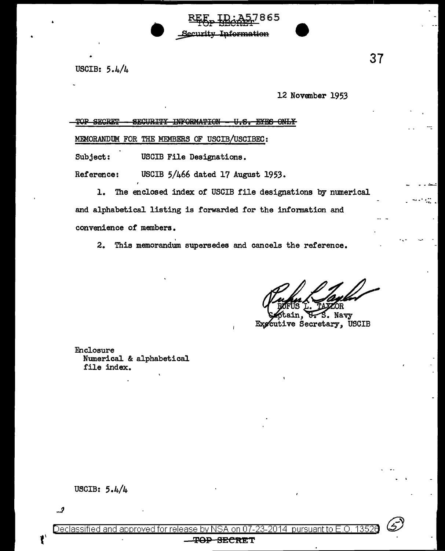USCIB: 5.4/4

12 November 1953

865

**Information** 

| eropum<br>mod | ™™™™™™™™™™™™™™™™™™<br>opolid thy                           |
|---------------|------------------------------------------------------------|
|               | MEMORANDUM FOR THE MEMBERS OF USCIB/USCIBEC:               |
| Subject:      | USCIB File Designations.                                   |
| Reference:    | USCIB 5/466 dated 17 August 1953.                          |
| ı.            | The enclosed index of USCIB file designations by numerical |

and alphabetical listing is forwarded for the information and convenience of members.

2. This memorandum supersedes and cancels the reference.

ЭR

Explain, V. S. Navy<br>Expective Secretary, USCIB S. Navy

Enclosure Numerical & alphabetical file index.

 $\cdot$ .



#### Ŧ<del>OP</del> <del>SECRE</del>T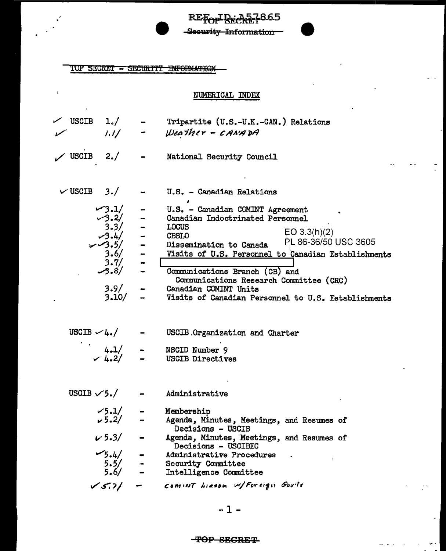REFOR BECALT 865 -Security Information

TOP SECRET - SECURITY INFORMATION

 $\bar{\mathbf{r}}$ 

## NUMERICAL INDEX

 $\overline{\phantom{a}}$ 

 $\sim$   $\sim$ 

| $\angle$ USCIB 1./  | 1.1/                                                                                                  |               | Tripartite (U.S.-U.K.-CAN.) Relations<br>- Weather - CANADA                                                                                                                                                                                                                                                                                                                                 |
|---------------------|-------------------------------------------------------------------------------------------------------|---------------|---------------------------------------------------------------------------------------------------------------------------------------------------------------------------------------------------------------------------------------------------------------------------------------------------------------------------------------------------------------------------------------------|
| $\angle$ USCIB      | 2./                                                                                                   |               | National Security Council                                                                                                                                                                                                                                                                                                                                                                   |
| $\vee$ USCIB 3./    |                                                                                                       |               | U.S. - Canadian Relations                                                                                                                                                                                                                                                                                                                                                                   |
|                     | $-3.1/$<br>$\frac{1}{2}$<br>$3.2/$<br>3.3/<br>3.4/<br>3.4/<br>3.5/<br>3.6/<br>3.7/<br>3.9/<br>3.10/   |               | U.S. - Canadian COMINT Agreement<br>Canadian Indoctrinated Personnel<br><b>LOCUS</b><br>EO 3.3(h)(2)<br><b>CBSLO</b><br>PL 86-36/50 USC 3605<br>Dissemination to Canada<br>Visits of U.S. Personnel to Canadian Establishments<br>Communications Branch (CB) and<br>Communications Research Committee (CRC)<br>Canadian COMINT Units<br>Visits of Canadian Personnel to U.S. Establishments |
| USCIB $\sim 4.7$    |                                                                                                       |               | USCIB Organization and Charter<br>$4.1/$ - NSCID Number 9<br>$\sqrt{4.2/}$ - USCIB Directive<br><b>USCIB Directives</b>                                                                                                                                                                                                                                                                     |
| USCIB $\sqrt{5}$ ./ |                                                                                                       |               | Administrative                                                                                                                                                                                                                                                                                                                                                                              |
|                     | $\begin{array}{cc} \sqrt{5} .1/ & - \\ \sqrt{5} .2/ & - \end{array}$<br>$v 5.3/ -$<br>$-5.4/$<br>5.5/ | $\frac{1}{2}$ | Membership<br>Agenda, Minutes, Meetings, and Resumes of<br>Decisions - USCIB<br>Agenda, Minutes, Meetings, and Resumes of<br>Decisions - USCIBEC<br>Administrative Procedures<br>Security Committee<br>Intelligence Committee                                                                                                                                                               |
|                     | $\sqrt{5.7}$ /                                                                                        |               | COMINT LIRSON W/Foreign Gorts                                                                                                                                                                                                                                                                                                                                                               |

 $-1-$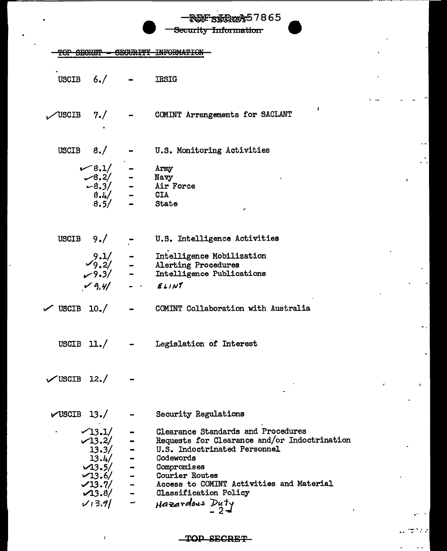|                           |                                                                  | REFSIERRE 7865<br>Security Information                                                                               |
|---------------------------|------------------------------------------------------------------|----------------------------------------------------------------------------------------------------------------------|
|                           |                                                                  |                                                                                                                      |
|                           |                                                                  |                                                                                                                      |
|                           | USCIB $6./$ - IRSIG                                              |                                                                                                                      |
| $\sqrt{$ USCIB 7./ –      |                                                                  | COMINT Arrangements for SACLANT                                                                                      |
|                           |                                                                  | USCIB $8./$ - U.S. Monitoring Activities                                                                             |
|                           |                                                                  | $8.1/$ - Army<br>$-8.2/$ - Navy<br>$-8.3/$ - Air Force<br>$8.4/$ - CIA<br>$8.5/$ - State                             |
|                           |                                                                  |                                                                                                                      |
|                           |                                                                  |                                                                                                                      |
|                           |                                                                  |                                                                                                                      |
|                           |                                                                  |                                                                                                                      |
|                           | USCIB $9./$ -                                                    | U.S. Intelligence Activities                                                                                         |
|                           |                                                                  |                                                                                                                      |
|                           |                                                                  |                                                                                                                      |
|                           |                                                                  | 9.1/ - Intelligence Mobilization<br>$\sqrt{9.2}/$ - Alerting Procedures<br>$\sqrt{9.3}/$ - Intelligence Publications |
|                           | $19, 41 - 1$                                                     | ELINT                                                                                                                |
| $\sqrt{}$ USCIB 10. $/$ - |                                                                  | COMINT Collaboration with Australia                                                                                  |
| USCIB $11./$              |                                                                  | Legislation of Interest                                                                                              |
| $\sqrt{USCIB}$ 12./       |                                                                  |                                                                                                                      |
| $\sqrt{USCIB}$ 13./       |                                                                  | Security Regulations                                                                                                 |
|                           | $\sqrt{13.1/}$                                                   | <b>Clearance Standards and Procedures</b>                                                                            |
|                           | $\sqrt{13.2/}$                                                   | Requests for Clearance and/or Indoctrination                                                                         |
|                           |                                                                  | U.S. Indoctrinated Personnel                                                                                         |
|                           |                                                                  | Codewords                                                                                                            |
|                           |                                                                  | Compromises                                                                                                          |
|                           | $13.3/$<br>13.4/<br>$-13.5/$<br>$-13.5/$<br>$-13.6/$<br>$-13.7/$ | Courier Routes                                                                                                       |
|                           |                                                                  | Access to COMINT Activities and Material                                                                             |
|                           | $\sqrt{13.8}$                                                    | Classification Policy                                                                                                |
|                           | V13.9                                                            | Hazardous Duty                                                                                                       |

## TOP SECRET

 $\bar{I}$ 

ケンパ

 $\overline{a}$ 

 $\ddot{\phantom{1}}$  .

 $\overline{a}$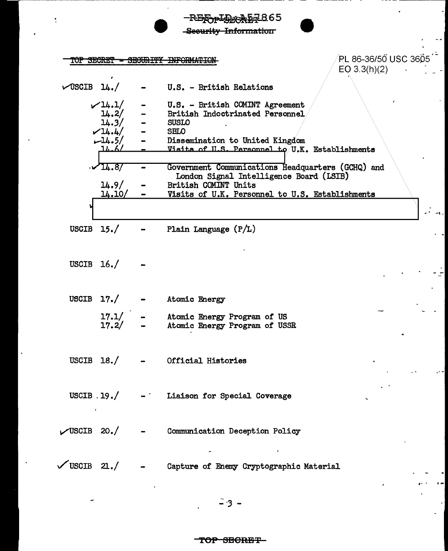|              |                                                                                           |                | -REIDPIDEORD7865<br>Security Information                                                                                                                                                |                                         |
|--------------|-------------------------------------------------------------------------------------------|----------------|-----------------------------------------------------------------------------------------------------------------------------------------------------------------------------------------|-----------------------------------------|
|              |                                                                                           |                | TOP SECRET = SECURITY INFORMATI                                                                                                                                                         | PL 86-36/50 USC 3605 1-<br>EO 3.3(h)(2) |
|              | $\sqrt{USCIB}$ 14./                                                                       |                | - U.S. - British Relations                                                                                                                                                              |                                         |
|              | $\nu$ 14.1/<br>$\frac{1}{4}.2/$<br>$\frac{1}{4}.3/$<br>14.4/<br>$-14.5/$<br><u>_14.6/</u> | $\blacksquare$ | U.S. - British COMINT Agreement<br>British Indoctrinated Personnel<br><b>SUSLO</b><br><b>SBLO</b><br>Dissemination to United Kingdom<br>Visits of H.S. Personnel to U.K. Establishments |                                         |
|              | $\sqrt{14.8}$<br>14.9/                                                                    |                | Government Communications Headquarters (GCHQ) and<br>London Signal Intelligence Board (LSIB)<br>British COMINT Units                                                                    |                                         |
|              | 14.10/                                                                                    |                | Visits of U.K. Personnel to U.S. Establishments                                                                                                                                         |                                         |
|              |                                                                                           |                |                                                                                                                                                                                         |                                         |
|              | USCIB $15./$                                                                              |                | Plain Language (P/L)                                                                                                                                                                    |                                         |
| USCIB $16./$ |                                                                                           |                |                                                                                                                                                                                         |                                         |
|              | USCIB $17./$                                                                              |                | Atomic Energy                                                                                                                                                                           |                                         |
|              | 17.1/<br>17.2/                                                                            |                | Atomic Energy Program of US<br>Atomic Energy Program of USSR                                                                                                                            |                                         |
|              |                                                                                           |                | USCIB $18./$ - Official Histories                                                                                                                                                       | <b>Contract Contract State</b>          |
|              |                                                                                           |                | USCIB $\,$ 19./ $\,$ - $\,$ Liaison for Special Coverage                                                                                                                                |                                         |
|              |                                                                                           |                | $\nu$ USCIB 20./ - Communication Deception Policy<br>with the control of the control of                                                                                                 |                                         |
|              |                                                                                           |                | VUSCIB 21./ - Capture of Enemy Cryptographic Material                                                                                                                                   |                                         |

 $-3-$ 

 $\cdot$ 

J.

 $\overline{a}$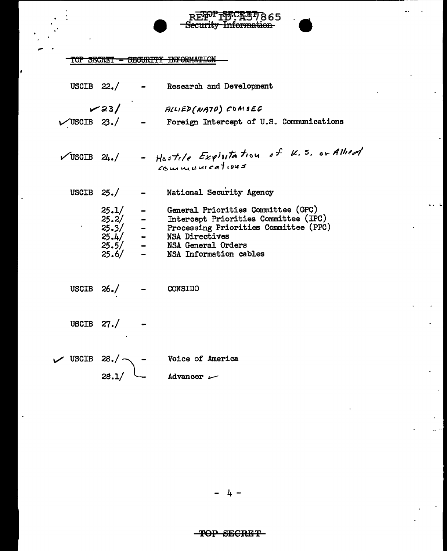TOP SECRET - SECURITY INFORMATION

 $\overline{\cdot}$ 

|  |                | USCIB 22./ - Research and Development                                                                                                                                                                                                 |
|--|----------------|---------------------------------------------------------------------------------------------------------------------------------------------------------------------------------------------------------------------------------------|
|  |                | V23/ ALLIED (NATO) COMSEC<br>$\checkmark$ USCIB 23./ - Foreign Intercept of U.S. Communications                                                                                                                                       |
|  |                | VUSCIB 24./ - Hostile Exploitation of K.S. or Allied                                                                                                                                                                                  |
|  |                | USCIB 25./ - National Security Agency                                                                                                                                                                                                 |
|  |                | 25.1/ - General Priorities Committee (GPC)<br>25.2/ - Intercept Priorities Committee (IPC)<br>25.3/ - Processing Priorities Committee (PPC)<br>25.4/ - NSA Directives<br>25.5/ - NSA General Orders<br>25.6/ - NSA Information cables |
|  |                | USCIB $26. /$ - CONSIDO                                                                                                                                                                                                               |
|  | USCIB $27./$ - |                                                                                                                                                                                                                                       |
|  |                | Voice of America                                                                                                                                                                                                                      |
|  |                | $V$ USCIB 28./ - Voice of Ame<br>28.1/ - Advancer $V$                                                                                                                                                                                 |

إعامه

ä,

REPPIFFCAUT665

 $4 -$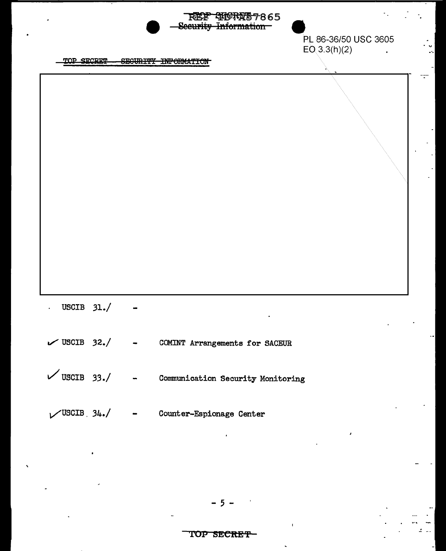|                     |  | REE SHORAS7865<br>Security Information                   |                                      |
|---------------------|--|----------------------------------------------------------|--------------------------------------|
|                     |  |                                                          | PL 86-36/50 USC 3605<br>EO(3.3(h)(2) |
| TOP SECRET          |  | SEGURITY INFORMATION                                     |                                      |
|                     |  |                                                          |                                      |
|                     |  |                                                          |                                      |
|                     |  |                                                          |                                      |
| USCIB $31./$        |  |                                                          |                                      |
|                     |  | $\checkmark$ USCIB 32./ - COMINT Arrangements for SACEUR |                                      |
| $\sqrt{$ USCIB 33./ |  | - Communication Security Monitoring                      |                                      |
|                     |  | $\sqrt{\text{USCIB}}$ 34./ - Counter-Espionage Center    |                                      |

U L.

 $\mathbf{L}$ z,

 $5 -$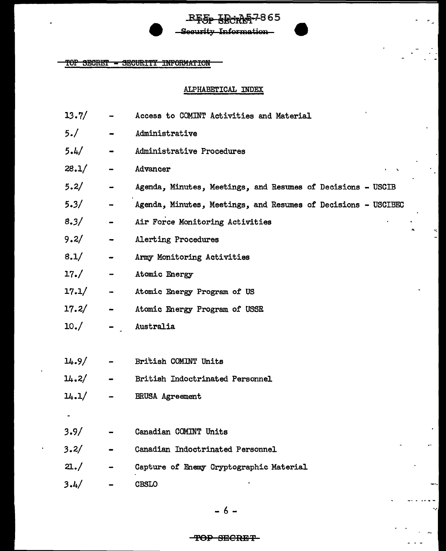# **157865** eeurity Information!

TOP SECRET = SECURITY INFORMATION

#### ALPHABETICAL INDEX

- $13.7/$ Access to COMINT Activities and Material
- $5.1$ Administrative
- $5.4/$ Administrative Procedures
- $28.1/$ Advancer
- $5.2/$ Agenda, Minutes, Meetings, and Resumes of Decisions - USCIB
- $5.3/$ Agenda, Minutes, Meetings, and Resumes of Decisions - USCIBEC
- $8.3/$ Air Force Monitoring Activities
- $9.2/$ Alerting Procedures
- $8.1/$ Army Monitoring Activities
- $17. /$ Atomic Energy
- $17.1/$ Atomic Energy Program of US
- $17.2/$ Atomic Energy Program of USSR
- $10./$ Australia
- $14.9/$ British COMINT Units
- $14.2/$ British Indoctrinated Personnel
- $14.1/$ **BRUSA** Agreement
- 
- $3.9/$ Canadian COMINT Units
- $3.2/$ Canadian Indoctrinated Personnel
- $21./$ Capture of Enemy Cryptographic Material
- $3.4/$ **CBSLO**

### <del>TOP SECRET</del>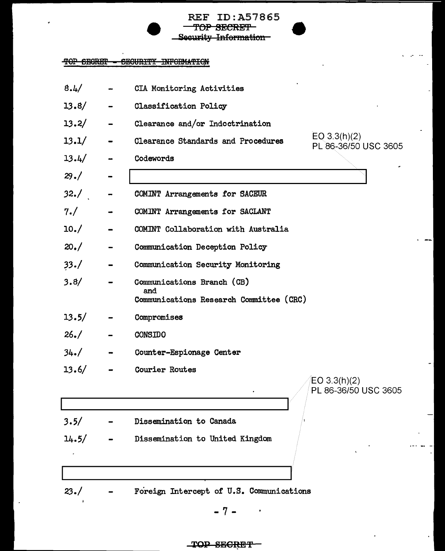**REF ID:A57865** TOP SECRET Security Information

### TOP SECRET - SECURITY INFORMATION

| 8.4/  |                | CIA Monitoring Activities                                                           |
|-------|----------------|-------------------------------------------------------------------------------------|
| 13.8/ |                | <b>Classification Policy</b>                                                        |
| 13.2/ |                | Clearance and/or Indoctrination                                                     |
| 13.1/ |                | EQ $3.3(h)(2)$<br><b>Clearance Standards and Procedures</b><br>PL 86-36/50 USC 3605 |
| 13.4/ |                | Codewords                                                                           |
| 29.7  |                |                                                                                     |
| 32./  |                | COMINT Arrangements for SACEUR                                                      |
| 7. /  |                | COMINT Arrangements for SACLANT                                                     |
| 10./  |                | COMINT Collaboration with Australia                                                 |
| 20. / |                | Communication Deception Policy                                                      |
| 33. / |                | Communication Security Monitoring                                                   |
| 3.8/  |                | Communications Branch (CB)<br>and<br>Communications Research Committee (CRC)        |
| 13.5/ |                | Compromises                                                                         |
| 26. / |                | <b>CONSIDO</b>                                                                      |
| 34.7  | $\blacksquare$ | Counter-Espionage Center                                                            |
| 13.6/ |                | Courier Routes                                                                      |
|       |                | EO 3.3(h)(2)<br>PL 86-36/50 USC 3605                                                |
|       |                |                                                                                     |
| 3.5/  |                | Dissemination to Canada                                                             |
| 14.5/ |                | Dissemination to United Kingdom                                                     |
|       |                |                                                                                     |
| 23. / |                | Foreign Intercept of U.S. Communications                                            |

 $-7-$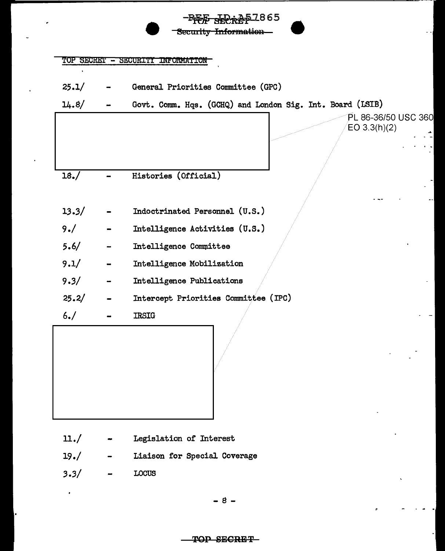|       |                              | TOP SECRET - SECURITY INFORMATION                         |
|-------|------------------------------|-----------------------------------------------------------|
| 25.1/ |                              | General Priorities Committee (GPC)                        |
| 14.8/ |                              | Govt. Comm. Hqs. (GCHQ) and London Sig. Int. Board (LSIB) |
|       |                              | PL 86-36/50 USC 360<br>EO 3.3(h)(2)                       |
|       |                              |                                                           |
| 18./  |                              | Histories (Official)                                      |
| 13.3/ |                              | Indoctrinated Personnel (U.S.)                            |
| 9. /  |                              | Intelligence Activities (U.S.)                            |
| 5.6/  |                              | Intelligence Committee                                    |
| 9.1/  |                              | Intelligence Mobilization                                 |
| 9.3/  | $\qquad \qquad \blacksquare$ | Intelligence Publications                                 |
| 25.2/ |                              | Intercept Priorities Committee (IPC)                      |
| 6. /  |                              | <b>IRSIG</b>                                              |

- $\mathfrak{u}$ ./ Legislation of Interest
- $19./$ Liaison for Special Coverage
- $3.3/$ LOCUS

 $\cdot$ 

 $8 -$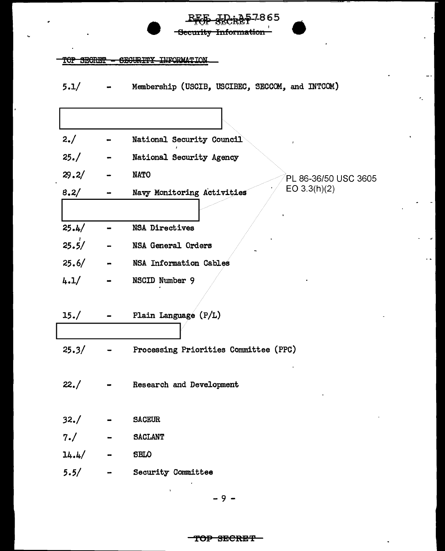| 577867     |            |                                                 |  |  |  |
|------------|------------|-------------------------------------------------|--|--|--|
|            |            | Security Information                            |  |  |  |
|            |            |                                                 |  |  |  |
| TOP SECRET |            | <b>SECURITY</b><br><b>INFORMATION</b>           |  |  |  |
|            |            |                                                 |  |  |  |
| 5.1/       |            | Membership (USCIB, USCIBEC, SECCOM, and INTCOM) |  |  |  |
|            |            |                                                 |  |  |  |
|            |            |                                                 |  |  |  |
|            |            |                                                 |  |  |  |
| 2./        |            | National Security Council                       |  |  |  |
|            |            |                                                 |  |  |  |
| 25. /      |            | National Security Agency                        |  |  |  |
| 29.2/      |            | <b>NATO</b><br>PL 86-36/50 USC 3605             |  |  |  |
|            |            | EO 3.3(h)(2)                                    |  |  |  |
| 8.2/       |            | Navy Monitoring Activities                      |  |  |  |
|            |            |                                                 |  |  |  |
| 25.4/      |            | <b>NSA Directives</b>                           |  |  |  |
| 25.5/      |            | NSA General Orders                              |  |  |  |
| 25.6/      |            | NSA Information Cables                          |  |  |  |
| 4.1/       |            | NSCID Number 9                                  |  |  |  |
|            |            |                                                 |  |  |  |
|            |            |                                                 |  |  |  |
| 15. /      |            | Plain Language (P/L)                            |  |  |  |
|            |            |                                                 |  |  |  |
|            |            |                                                 |  |  |  |
| 25.3/      |            | Processing Priorities Committee (PPC)           |  |  |  |
|            |            |                                                 |  |  |  |
| 22. /      |            | Research and Development                        |  |  |  |
|            |            |                                                 |  |  |  |
|            |            |                                                 |  |  |  |
| 32./       |            | <b>SACEUR</b>                                   |  |  |  |
| 7. /       |            | <b>SACLANT</b>                                  |  |  |  |
| 14.4/      | $\sim 100$ | <b>SBLO</b>                                     |  |  |  |
| 5.5/       |            | <b>Security Committee</b>                       |  |  |  |
|            |            |                                                 |  |  |  |

k.

i.

J.

 $-9-$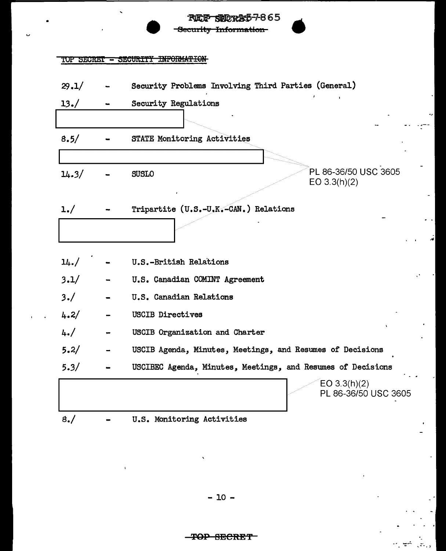|       | <b>RIELP SINDRAD-7-865</b><br>Security Information          |
|-------|-------------------------------------------------------------|
|       | TOP SECRET - SECURITY INFORMATION                           |
| 29.1/ | Security Problems Involving Third Parties (General)         |
| 13./  | Security Regulations                                        |
| 8.5/  | STATE Monitoring Activities                                 |
| 14.3/ | PL 86-36/50 USC 3605<br><b>SUSLO</b><br>EO $3.3(h)(2)$      |
| 1./   | Tripartite (U.S.-U.K.-CAN.) Relations                       |
| 14. / | U.S.-British Relations                                      |
| 3.1/  | U.S. Canadian COMINT Agreement                              |
| 3./   | U.S. Canadian Relations                                     |
| 4.2/  | <b>USCIB Directives</b>                                     |
| 4. /  | USCIB Organization and Charter                              |
| 5.2/  | USCIB Agenda, Minutes, Meetings, and Resumes of Decisions   |
| 5.3/  | USCIBEC Agenda, Minutes, Meetings, and Resumes of Decisions |
|       | EO $3.3(h)(2)$<br>PL 86-36/50 USC 3605                      |
| 8./   | U.S. Monitoring Activities                                  |

 $\mathcal{L}_{\mathcal{S}}$ 

ë

 $\frac{1}{\sqrt{2}}$ 

 $\sigma_{\rm c}$  and

 $\mathbb{R}^+$ 

U

 $\overline{1}$